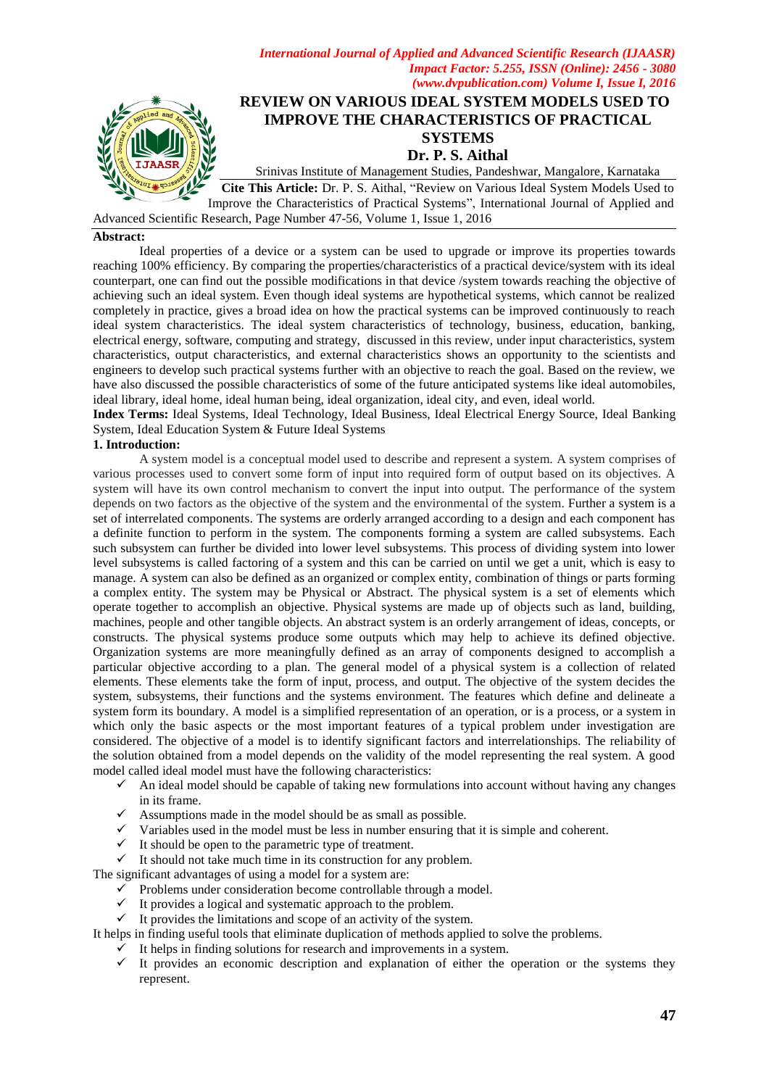

# **REVIEW ON VARIOUS IDEAL SYSTEM MODELS USED TO IMPROVE THE CHARACTERISTICS OF PRACTICAL SYSTEMS Dr. P. S. Aithal**

Srinivas Institute of Management Studies, Pandeshwar, Mangalore, Karnataka

**Cite This Article:** Dr. P. S. Aithal, "Review on Various Ideal System Models Used to Improve the Characteristics of Practical Systems", International Journal of Applied and

Advanced Scientific Research, Page Number 47-56, Volume 1, Issue 1, 2016

## **Abstract:**

Ideal properties of a device or a system can be used to upgrade or improve its properties towards reaching 100% efficiency. By comparing the properties/characteristics of a practical device/system with its ideal counterpart, one can find out the possible modifications in that device /system towards reaching the objective of achieving such an ideal system. Even though ideal systems are hypothetical systems, which cannot be realized completely in practice, gives a broad idea on how the practical systems can be improved continuously to reach ideal system characteristics. The ideal system characteristics of technology, business, education, banking, electrical energy, software, computing and strategy, discussed in this review, under input characteristics, system characteristics, output characteristics, and external characteristics shows an opportunity to the scientists and engineers to develop such practical systems further with an objective to reach the goal. Based on the review, we have also discussed the possible characteristics of some of the future anticipated systems like ideal automobiles, ideal library, ideal home, ideal human being, ideal organization, ideal city, and even, ideal world.

**Index Terms:** Ideal Systems, Ideal Technology, Ideal Business, Ideal Electrical Energy Source, Ideal Banking System, Ideal Education System & Future Ideal Systems

## **1. Introduction:**

A system model is a conceptual model used to describe and represent a system. A system comprises of various processes used to convert some form of input into required form of output based on its objectives. A system will have its own control mechanism to convert the input into output. The performance of the system depends on two factors as the objective of the system and the environmental of the system. Further a system is a set of interrelated components. The systems are orderly arranged according to a design and each component has a definite function to perform in the system. The components forming a system are called subsystems. Each such subsystem can further be divided into lower level subsystems. This process of dividing system into lower level subsystems is called factoring of a system and this can be carried on until we get a unit, which is easy to manage. A system can also be defined as an organized or complex entity, combination of things or parts forming a complex entity. The system may be Physical or Abstract. The physical system is a set of elements which operate together to accomplish an objective. Physical systems are made up of objects such as land, building, machines, people and other tangible objects. An abstract system is an orderly arrangement of ideas, concepts, or constructs. The physical systems produce some outputs which may help to achieve its defined objective. Organization systems are more meaningfully defined as an array of components designed to accomplish a particular objective according to a plan. The general model of a physical system is a collection of related elements. These elements take the form of input, process, and output. The objective of the system decides the system, subsystems, their functions and the systems environment. The features which define and delineate a system form its boundary. A model is a simplified representation of an operation, or is a process, or a system in which only the basic aspects or the most important features of a typical problem under investigation are considered. The objective of a model is to identify significant factors and interrelationships. The reliability of the solution obtained from a model depends on the validity of the model representing the real system. A good model called ideal model must have the following characteristics:

- $\checkmark$  An ideal model should be capable of taking new formulations into account without having any changes in its frame.
- $\checkmark$  Assumptions made in the model should be as small as possible.
- $\checkmark$  Variables used in the model must be less in number ensuring that it is simple and coherent.
- $\checkmark$  It should be open to the parametric type of treatment.
- $\checkmark$  It should not take much time in its construction for any problem.

The significant advantages of using a model for a system are:

- $\checkmark$  Problems under consideration become controllable through a model.
- $\checkmark$  It provides a logical and systematic approach to the problem.
- $\checkmark$  It provides the limitations and scope of an activity of the system.

It helps in finding useful tools that eliminate duplication of methods applied to solve the problems.

- It helps in finding solutions for research and improvements in a system.<br>  $\checkmark$  It provides an economic description and explanation of either the
- It provides an economic description and explanation of either the operation or the systems they represent.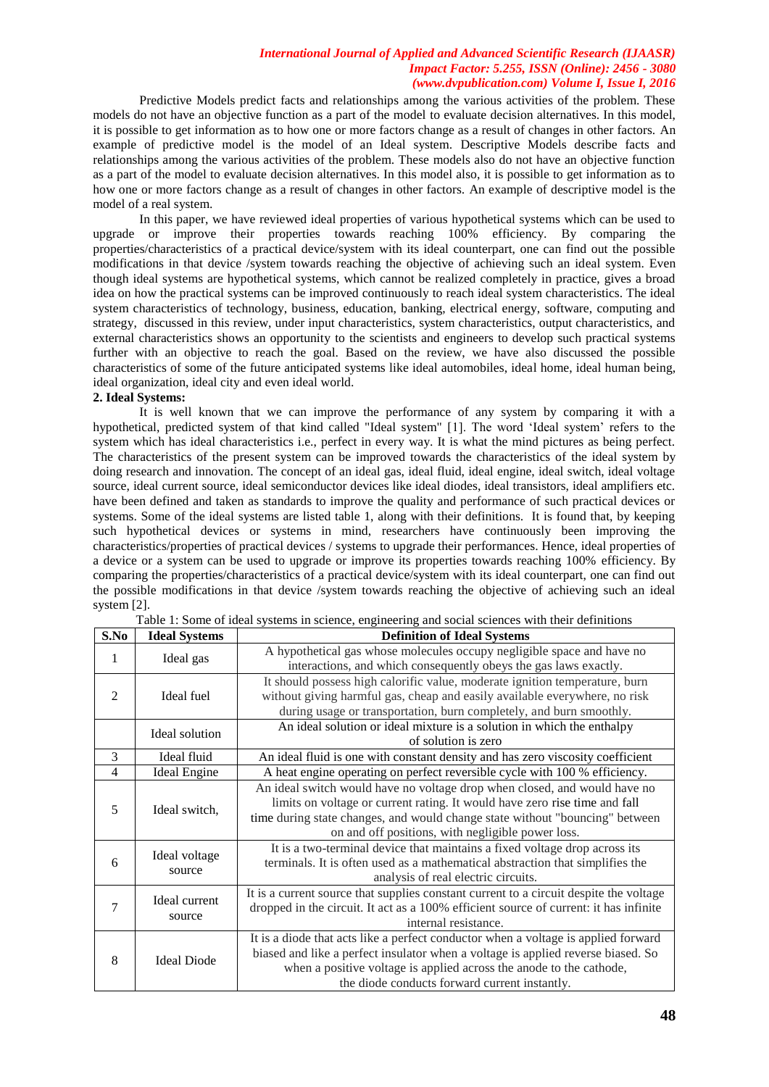Predictive Models predict facts and relationships among the various activities of the problem. These models do not have an objective function as a part of the model to evaluate decision alternatives. In this model, it is possible to get information as to how one or more factors change as a result of changes in other factors. An example of predictive model is the model of an Ideal system. Descriptive Models describe facts and relationships among the various activities of the problem. These models also do not have an objective function as a part of the model to evaluate decision alternatives. In this model also, it is possible to get information as to how one or more factors change as a result of changes in other factors. An example of descriptive model is the model of a real system.

In this paper, we have reviewed ideal properties of various hypothetical systems which can be used to upgrade or improve their properties towards reaching 100% efficiency. By comparing the properties/characteristics of a practical device/system with its ideal counterpart, one can find out the possible modifications in that device /system towards reaching the objective of achieving such an ideal system. Even though ideal systems are hypothetical systems, which cannot be realized completely in practice, gives a broad idea on how the practical systems can be improved continuously to reach ideal system characteristics. The ideal system characteristics of technology, business, education, banking, electrical energy, software, computing and strategy, discussed in this review, under input characteristics, system characteristics, output characteristics, and external characteristics shows an opportunity to the scientists and engineers to develop such practical systems further with an objective to reach the goal. Based on the review, we have also discussed the possible characteristics of some of the future anticipated systems like ideal automobiles, ideal home, ideal human being, ideal organization, ideal city and even ideal world.

## **2. Ideal Systems:**

It is well known that we can improve the performance of any system by comparing it with a hypothetical, predicted system of that kind called "Ideal system" [1]. The word "Ideal system" refers to the system which has ideal characteristics i.e., perfect in every way. It is what the mind pictures as being perfect. The characteristics of the present system can be improved towards the characteristics of the ideal system by doing research and innovation. The concept of an ideal gas, ideal fluid, ideal engine, ideal switch, ideal voltage source, ideal current source, ideal semiconductor devices like ideal diodes, ideal transistors, ideal amplifiers etc. have been defined and taken as standards to improve the quality and performance of such practical devices or systems. Some of the ideal systems are listed table 1, along with their definitions. It is found that, by keeping such hypothetical devices or systems in mind, researchers have continuously been improving the characteristics/properties of practical devices / systems to upgrade their performances. Hence, ideal properties of a device or a system can be used to upgrade or improve its properties towards reaching 100% efficiency. By comparing the properties/characteristics of a practical device/system with its ideal counterpart, one can find out the possible modifications in that device /system towards reaching the objective of achieving such an ideal system [2].

| S.No           | <b>Ideal Systems</b>    | <b>Definition of Ideal Systems</b>                                                     |
|----------------|-------------------------|----------------------------------------------------------------------------------------|
| 1              | Ideal gas               | A hypothetical gas whose molecules occupy negligible space and have no                 |
|                |                         | interactions, and which consequently obeys the gas laws exactly.                       |
| $\overline{2}$ | Ideal fuel              | It should possess high calorific value, moderate ignition temperature, burn            |
|                |                         | without giving harmful gas, cheap and easily available everywhere, no risk             |
|                |                         | during usage or transportation, burn completely, and burn smoothly.                    |
|                | Ideal solution          | An ideal solution or ideal mixture is a solution in which the enthalpy                 |
|                |                         | of solution is zero                                                                    |
| $\mathcal{E}$  | Ideal fluid             | An ideal fluid is one with constant density and has zero viscosity coefficient         |
| $\overline{4}$ | <b>Ideal Engine</b>     | A heat engine operating on perfect reversible cycle with 100 % efficiency.             |
| 5              | Ideal switch,           | An ideal switch would have no voltage drop when closed, and would have no              |
|                |                         | limits on voltage or current rating. It would have zero rise time and fall             |
|                |                         | time during state changes, and would change state without "bouncing" between           |
|                |                         | on and off positions, with negligible power loss.                                      |
|                | Ideal voltage<br>source | It is a two-terminal device that maintains a fixed voltage drop across its             |
| 6              |                         | terminals. It is often used as a mathematical abstraction that simplifies the          |
|                |                         | analysis of real electric circuits.                                                    |
| 7              | Ideal current<br>source | It is a current source that supplies constant current to a circuit despite the voltage |
|                |                         | dropped in the circuit. It act as a 100% efficient source of current: it has infinite  |
|                |                         | internal resistance.                                                                   |
| 8              | <b>Ideal Diode</b>      | It is a diode that acts like a perfect conductor when a voltage is applied forward     |
|                |                         | biased and like a perfect insulator when a voltage is applied reverse biased. So       |
|                |                         | when a positive voltage is applied across the anode to the cathode,                    |
|                |                         | the diode conducts forward current instantly.                                          |

Table 1: Some of ideal systems in science, engineering and social sciences with their definitions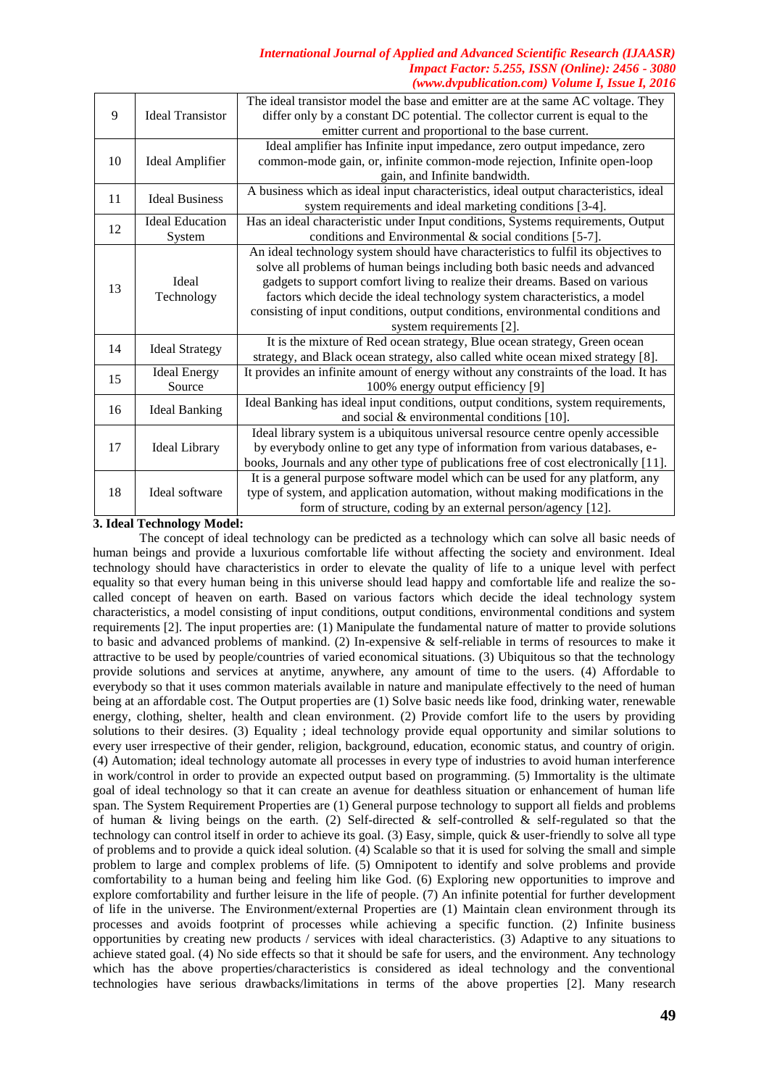| 9  | <b>Ideal Transistor</b>          | The ideal transistor model the base and emitter are at the same AC voltage. They<br>differ only by a constant DC potential. The collector current is equal to the<br>emitter current and proportional to the base current.                                                                                                                                                                                                                  |
|----|----------------------------------|---------------------------------------------------------------------------------------------------------------------------------------------------------------------------------------------------------------------------------------------------------------------------------------------------------------------------------------------------------------------------------------------------------------------------------------------|
| 10 | <b>Ideal Amplifier</b>           | Ideal amplifier has Infinite input impedance, zero output impedance, zero<br>common-mode gain, or, infinite common-mode rejection, Infinite open-loop<br>gain, and Infinite bandwidth.                                                                                                                                                                                                                                                      |
| 11 | <b>Ideal Business</b>            | A business which as ideal input characteristics, ideal output characteristics, ideal<br>system requirements and ideal marketing conditions [3-4].                                                                                                                                                                                                                                                                                           |
| 12 | <b>Ideal Education</b><br>System | Has an ideal characteristic under Input conditions, Systems requirements, Output<br>conditions and Environmental $\&$ social conditions [5-7].                                                                                                                                                                                                                                                                                              |
| 13 | Ideal<br>Technology              | An ideal technology system should have characteristics to fulfil its objectives to<br>solve all problems of human beings including both basic needs and advanced<br>gadgets to support comfort living to realize their dreams. Based on various<br>factors which decide the ideal technology system characteristics, a model<br>consisting of input conditions, output conditions, environmental conditions and<br>system requirements [2]. |
| 14 | <b>Ideal Strategy</b>            | It is the mixture of Red ocean strategy, Blue ocean strategy, Green ocean<br>strategy, and Black ocean strategy, also called white ocean mixed strategy [8].                                                                                                                                                                                                                                                                                |
| 15 | <b>Ideal Energy</b><br>Source    | It provides an infinite amount of energy without any constraints of the load. It has<br>100% energy output efficiency [9]                                                                                                                                                                                                                                                                                                                   |
| 16 | <b>Ideal Banking</b>             | Ideal Banking has ideal input conditions, output conditions, system requirements,<br>and social $&$ environmental conditions [10].                                                                                                                                                                                                                                                                                                          |
| 17 | <b>Ideal Library</b>             | Ideal library system is a ubiquitous universal resource centre openly accessible<br>by everybody online to get any type of information from various databases, e-<br>books, Journals and any other type of publications free of cost electronically [11].                                                                                                                                                                                   |
| 18 | Ideal software                   | It is a general purpose software model which can be used for any platform, any<br>type of system, and application automation, without making modifications in the<br>form of structure, coding by an external person/agency [12].                                                                                                                                                                                                           |

**3. Ideal Technology Model:**

The concept of ideal technology can be predicted as a technology which can solve all basic needs of human beings and provide a luxurious comfortable life without affecting the society and environment. Ideal technology should have characteristics in order to elevate the quality of life to a unique level with perfect equality so that every human being in this universe should lead happy and comfortable life and realize the socalled concept of heaven on earth. Based on various factors which decide the ideal technology system characteristics, a model consisting of input conditions, output conditions, environmental conditions and system requirements [2]. The input properties are: (1) Manipulate the fundamental nature of matter to provide solutions to basic and advanced problems of mankind. (2) In-expensive & self-reliable in terms of resources to make it attractive to be used by people/countries of varied economical situations. (3) Ubiquitous so that the technology provide solutions and services at anytime, anywhere, any amount of time to the users. (4) Affordable to everybody so that it uses common materials available in nature and manipulate effectively to the need of human being at an affordable cost. The Output properties are (1) Solve basic needs like food, drinking water, renewable energy, clothing, shelter, health and clean environment. (2) Provide comfort life to the users by providing solutions to their desires. (3) Equality ; ideal technology provide equal opportunity and similar solutions to every user irrespective of their gender, religion, background, education, economic status, and country of origin. (4) Automation; ideal technology automate all processes in every type of industries to avoid human interference in work/control in order to provide an expected output based on programming. (5) Immortality is the ultimate goal of ideal technology so that it can create an avenue for deathless situation or enhancement of human life span. The System Requirement Properties are (1) General purpose technology to support all fields and problems of human & living beings on the earth. (2) Self-directed & self-controlled & self-regulated so that the technology can control itself in order to achieve its goal. (3) Easy, simple, quick & user-friendly to solve all type of problems and to provide a quick ideal solution. (4) Scalable so that it is used for solving the small and simple problem to large and complex problems of life. (5) Omnipotent to identify and solve problems and provide comfortability to a human being and feeling him like God. (6) Exploring new opportunities to improve and explore comfortability and further leisure in the life of people. (7) An infinite potential for further development of life in the universe. The Environment/external Properties are (1) Maintain clean environment through its processes and avoids footprint of processes while achieving a specific function. (2) Infinite business opportunities by creating new products / services with ideal characteristics. (3) Adaptive to any situations to achieve stated goal. (4) No side effects so that it should be safe for users, and the environment. Any technology which has the above properties/characteristics is considered as ideal technology and the conventional technologies have serious drawbacks/limitations in terms of the above properties [2]. Many research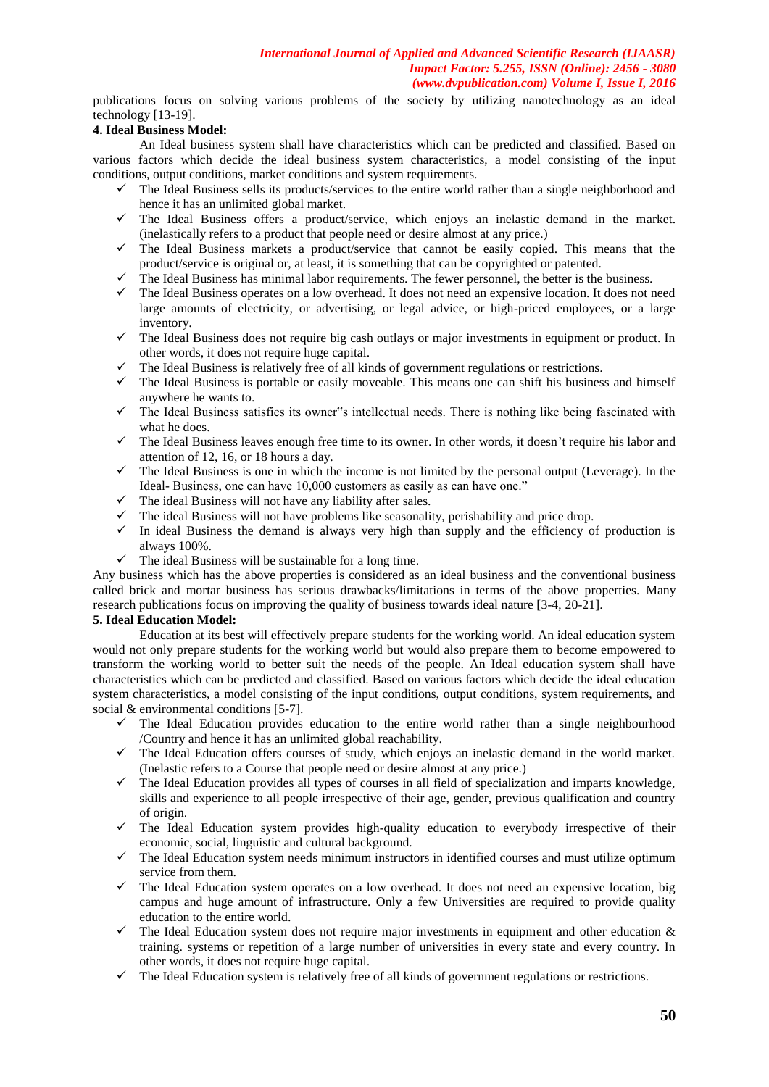publications focus on solving various problems of the society by utilizing nanotechnology as an ideal technology [13-19].

## **4. Ideal Business Model:**

An Ideal business system shall have characteristics which can be predicted and classified. Based on various factors which decide the ideal business system characteristics, a model consisting of the input conditions, output conditions, market conditions and system requirements.

- $\checkmark$  The Ideal Business sells its products/services to the entire world rather than a single neighborhood and hence it has an unlimited global market.
- $\checkmark$  The Ideal Business offers a product/service, which enjoys an inelastic demand in the market. (inelastically refers to a product that people need or desire almost at any price.)
- $\checkmark$  The Ideal Business markets a product/service that cannot be easily copied. This means that the product/service is original or, at least, it is something that can be copyrighted or patented.
- $\checkmark$  The Ideal Business has minimal labor requirements. The fewer personnel, the better is the business.
- $\checkmark$  The Ideal Business operates on a low overhead. It does not need an expensive location. It does not need large amounts of electricity, or advertising, or legal advice, or high-priced employees, or a large inventory.
- $\checkmark$  The Ideal Business does not require big cash outlays or major investments in equipment or product. In other words, it does not require huge capital.
- The Ideal Business is relatively free of all kinds of government regulations or restrictions.
- $\checkmark$  The Ideal Business is portable or easily moveable. This means one can shift his business and himself anywhere he wants to.
- $\checkmark$  The Ideal Business satisfies its owner"s intellectual needs. There is nothing like being fascinated with what he does.
- $\checkmark$  The Ideal Business leaves enough free time to its owner. In other words, it doesn't require his labor and attention of 12, 16, or 18 hours a day.
- The Ideal Business is one in which the income is not limited by the personal output (Leverage). In the Ideal- Business, one can have 10,000 customers as easily as can have one."
- $\checkmark$  The ideal Business will not have any liability after sales.
- $\checkmark$  The ideal Business will not have problems like seasonality, perishability and price drop.<br> $\checkmark$  In ideal Business the demand is always very high than supply and the efficiency of
- In ideal Business the demand is always very high than supply and the efficiency of production is always 100%.
- $\checkmark$  The ideal Business will be sustainable for a long time.

Any business which has the above properties is considered as an ideal business and the conventional business called brick and mortar business has serious drawbacks/limitations in terms of the above properties. Many research publications focus on improving the quality of business towards ideal nature [3-4, 20-21].

## **5. Ideal Education Model:**

Education at its best will effectively prepare students for the working world. An ideal education system would not only prepare students for the working world but would also prepare them to become empowered to transform the working world to better suit the needs of the people. An Ideal education system shall have characteristics which can be predicted and classified. Based on various factors which decide the ideal education system characteristics, a model consisting of the input conditions, output conditions, system requirements, and social & environmental conditions [5-7].

- $\checkmark$  The Ideal Education provides education to the entire world rather than a single neighbourhood /Country and hence it has an unlimited global reachability.
- $\checkmark$  The Ideal Education offers courses of study, which enjoys an inelastic demand in the world market. (Inelastic refers to a Course that people need or desire almost at any price.)
- $\checkmark$  The Ideal Education provides all types of courses in all field of specialization and imparts knowledge, skills and experience to all people irrespective of their age, gender, previous qualification and country of origin.
- $\checkmark$  The Ideal Education system provides high-quality education to everybody irrespective of their economic, social, linguistic and cultural background.
- $\checkmark$  The Ideal Education system needs minimum instructors in identified courses and must utilize optimum service from them.
- $\checkmark$  The Ideal Education system operates on a low overhead. It does not need an expensive location, big campus and huge amount of infrastructure. Only a few Universities are required to provide quality education to the entire world.
- The Ideal Education system does not require major investments in equipment and other education  $\&$ training. systems or repetition of a large number of universities in every state and every country. In other words, it does not require huge capital.
- $\checkmark$  The Ideal Education system is relatively free of all kinds of government regulations or restrictions.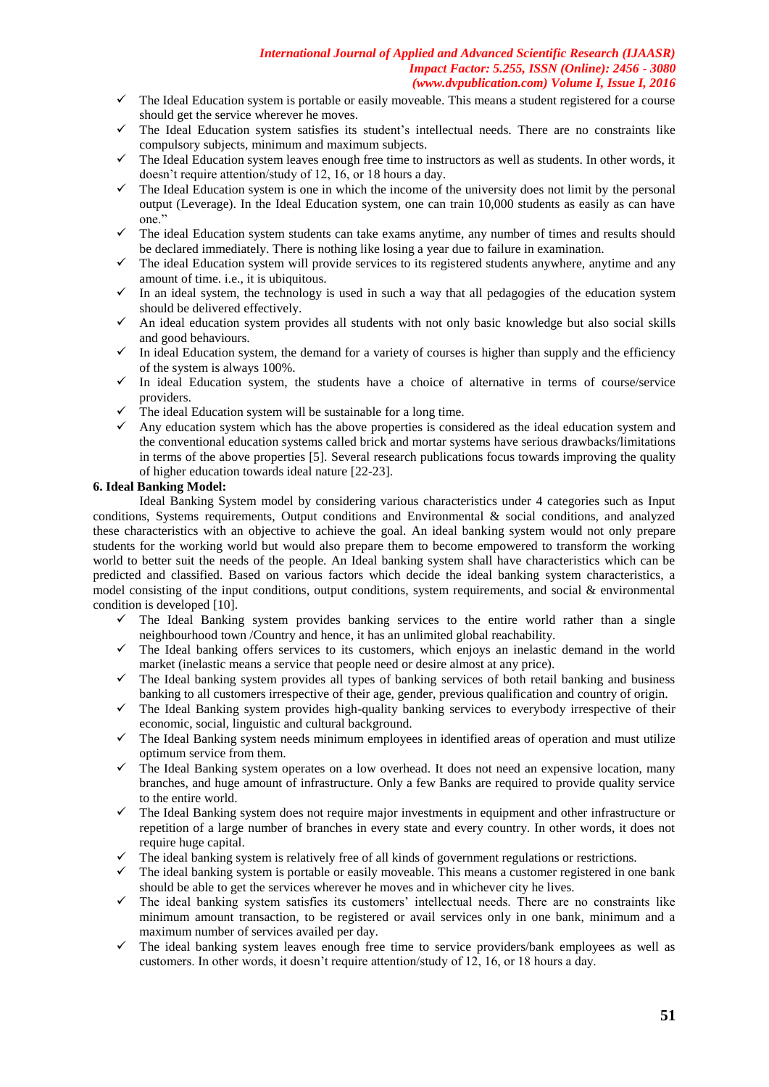- $\checkmark$  The Ideal Education system is portable or easily moveable. This means a student registered for a course should get the service wherever he moves.
- The Ideal Education system satisfies its student"s intellectual needs. There are no constraints like compulsory subjects, minimum and maximum subjects.
- The Ideal Education system leaves enough free time to instructors as well as students. In other words, it doesn't require attention/study of 12, 16, or 18 hours a day.
- $\checkmark$  The Ideal Education system is one in which the income of the university does not limit by the personal output (Leverage). In the Ideal Education system, one can train 10,000 students as easily as can have one."
- $\checkmark$  The ideal Education system students can take exams anytime, any number of times and results should be declared immediately. There is nothing like losing a year due to failure in examination.
- $\checkmark$  The ideal Education system will provide services to its registered students anywhere, anytime and any amount of time. i.e., it is ubiquitous.
- $\checkmark$  In an ideal system, the technology is used in such a way that all pedagogies of the education system should be delivered effectively.
- $\checkmark$  An ideal education system provides all students with not only basic knowledge but also social skills and good behaviours.
- In ideal Education system, the demand for a variety of courses is higher than supply and the efficiency of the system is always 100%.
- $\checkmark$  In ideal Education system, the students have a choice of alternative in terms of course/service providers.
- $\checkmark$  The ideal Education system will be sustainable for a long time.
- Any education system which has the above properties is considered as the ideal education system and the conventional education systems called brick and mortar systems have serious drawbacks/limitations in terms of the above properties [5]. Several research publications focus towards improving the quality of higher education towards ideal nature [22-23].

#### **6. Ideal Banking Model:**

Ideal Banking System model by considering various characteristics under 4 categories such as Input conditions, Systems requirements, Output conditions and Environmental & social conditions, and analyzed these characteristics with an objective to achieve the goal. An ideal banking system would not only prepare students for the working world but would also prepare them to become empowered to transform the working world to better suit the needs of the people. An Ideal banking system shall have characteristics which can be predicted and classified. Based on various factors which decide the ideal banking system characteristics, a model consisting of the input conditions, output conditions, system requirements, and social & environmental condition is developed [10].

- The Ideal Banking system provides banking services to the entire world rather than a single neighbourhood town /Country and hence, it has an unlimited global reachability.
- $\checkmark$  The Ideal banking offers services to its customers, which enjoys an inelastic demand in the world market (inelastic means a service that people need or desire almost at any price).
- $\checkmark$  The Ideal banking system provides all types of banking services of both retail banking and business banking to all customers irrespective of their age, gender, previous qualification and country of origin.
- $\checkmark$  The Ideal Banking system provides high-quality banking services to everybody irrespective of their economic, social, linguistic and cultural background.
- $\checkmark$  The Ideal Banking system needs minimum employees in identified areas of operation and must utilize optimum service from them.
- $\checkmark$  The Ideal Banking system operates on a low overhead. It does not need an expensive location, many branches, and huge amount of infrastructure. Only a few Banks are required to provide quality service to the entire world.
- $\checkmark$  The Ideal Banking system does not require major investments in equipment and other infrastructure or repetition of a large number of branches in every state and every country. In other words, it does not require huge capital.
- The ideal banking system is relatively free of all kinds of government regulations or restrictions.
- $\checkmark$  The ideal banking system is portable or easily moveable. This means a customer registered in one bank should be able to get the services wherever he moves and in whichever city he lives.
- $\checkmark$  The ideal banking system satisfies its customers' intellectual needs. There are no constraints like minimum amount transaction, to be registered or avail services only in one bank, minimum and a maximum number of services availed per day.
- The ideal banking system leaves enough free time to service providers/bank employees as well as customers. In other words, it doesn't require attention/study of 12, 16, or 18 hours a day.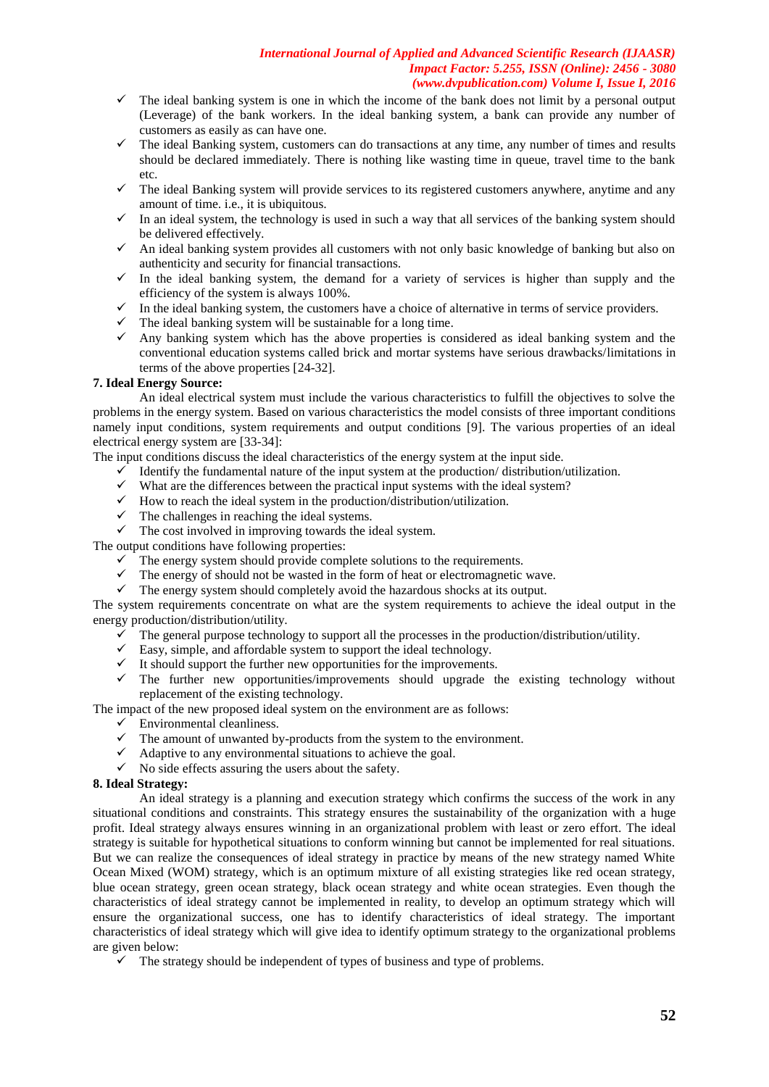- $\checkmark$  The ideal banking system is one in which the income of the bank does not limit by a personal output (Leverage) of the bank workers. In the ideal banking system, a bank can provide any number of customers as easily as can have one.
- $\checkmark$  The ideal Banking system, customers can do transactions at any time, any number of times and results should be declared immediately. There is nothing like wasting time in queue, travel time to the bank etc.
- $\checkmark$  The ideal Banking system will provide services to its registered customers anywhere, anytime and any amount of time. i.e., it is ubiquitous.
- $\checkmark$  In an ideal system, the technology is used in such a way that all services of the banking system should be delivered effectively.
- $\checkmark$  An ideal banking system provides all customers with not only basic knowledge of banking but also on authenticity and security for financial transactions.
- $\checkmark$  In the ideal banking system, the demand for a variety of services is higher than supply and the efficiency of the system is always 100%.
- $\checkmark$  In the ideal banking system, the customers have a choice of alternative in terms of service providers.
- $\checkmark$  The ideal banking system will be sustainable for a long time.
- $\checkmark$  Any banking system which has the above properties is considered as ideal banking system and the conventional education systems called brick and mortar systems have serious drawbacks/limitations in terms of the above properties [24-32].

## **7. Ideal Energy Source:**

An ideal electrical system must include the various characteristics to fulfill the objectives to solve the problems in the energy system. Based on various characteristics the model consists of three important conditions namely input conditions, system requirements and output conditions [9]. The various properties of an ideal electrical energy system are [33-34]:

The input conditions discuss the ideal characteristics of the energy system at the input side.

- $\checkmark$  Identify the fundamental nature of the input system at the production/distribution/utilization.
- $\checkmark$  What are the differences between the practical input systems with the ideal system?
- $\checkmark$  How to reach the ideal system in the production/distribution/utilization.
- $\checkmark$  The challenges in reaching the ideal systems.
- $\checkmark$  The cost involved in improving towards the ideal system.

The output conditions have following properties:

- $\checkmark$  The energy system should provide complete solutions to the requirements.
- $\checkmark$  The energy of should not be wasted in the form of heat or electromagnetic wave.
- $\checkmark$  The energy system should completely avoid the hazardous shocks at its output.

The system requirements concentrate on what are the system requirements to achieve the ideal output in the energy production/distribution/utility.

- The general purpose technology to support all the processes in the production/distribution/utility.
- $\checkmark$  Easy, simple, and affordable system to support the ideal technology.
- $\checkmark$  It should support the further new opportunities for the improvements.
- $\checkmark$  The further new opportunities/improvements should upgrade the existing technology without replacement of the existing technology.

The impact of the new proposed ideal system on the environment are as follows:

- $\checkmark$  Environmental cleanliness.
- $\checkmark$  The amount of unwanted by-products from the system to the environment.
- $\checkmark$  Adaptive to any environmental situations to achieve the goal.
- $\checkmark$  No side effects assuring the users about the safety.

## **8. Ideal Strategy:**

An ideal strategy is a planning and execution strategy which confirms the success of the work in any situational conditions and constraints. This strategy ensures the sustainability of the organization with a huge profit. Ideal strategy always ensures winning in an organizational problem with least or zero effort. The ideal strategy is suitable for hypothetical situations to conform winning but cannot be implemented for real situations. But we can realize the consequences of ideal strategy in practice by means of the new strategy named White Ocean Mixed (WOM) strategy, which is an optimum mixture of all existing strategies like red ocean strategy, blue ocean strategy, green ocean strategy, black ocean strategy and white ocean strategies. Even though the characteristics of ideal strategy cannot be implemented in reality, to develop an optimum strategy which will ensure the organizational success, one has to identify characteristics of ideal strategy. The important characteristics of ideal strategy which will give idea to identify optimum strategy to the organizational problems are given below:

 $\checkmark$  The strategy should be independent of types of business and type of problems.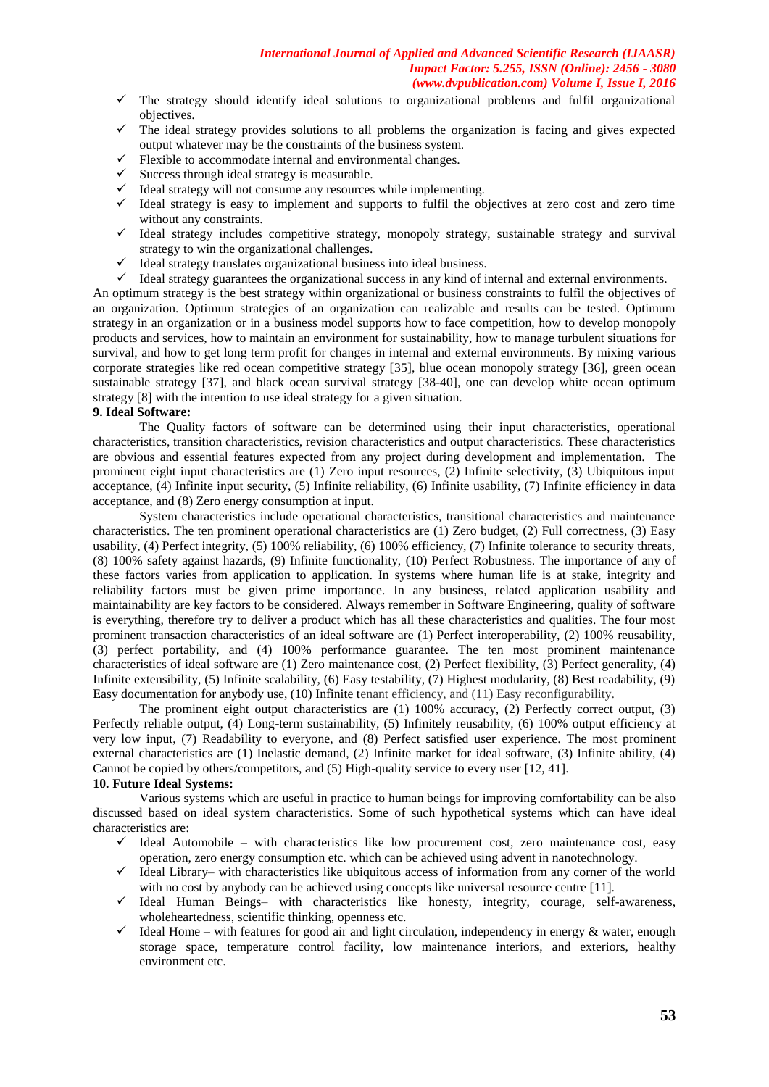- The strategy should identify ideal solutions to organizational problems and fulfil organizational objectives.
- The ideal strategy provides solutions to all problems the organization is facing and gives expected output whatever may be the constraints of the business system.
- Flexible to accommodate internal and environmental changes.
- Success through ideal strategy is measurable.
- Ideal strategy will not consume any resources while implementing.
- $\checkmark$  Ideal strategy is easy to implement and supports to fulfil the objectives at zero cost and zero time without any constraints.
- $\checkmark$  Ideal strategy includes competitive strategy, monopoly strategy, sustainable strategy and survival strategy to win the organizational challenges.
- $\checkmark$  Ideal strategy translates organizational business into ideal business.
- $\checkmark$  Ideal strategy guarantees the organizational success in any kind of internal and external environments.

An optimum strategy is the best strategy within organizational or business constraints to fulfil the objectives of an organization. Optimum strategies of an organization can realizable and results can be tested. Optimum strategy in an organization or in a business model supports how to face competition, how to develop monopoly products and services, how to maintain an environment for sustainability, how to manage turbulent situations for survival, and how to get long term profit for changes in internal and external environments. By mixing various corporate strategies like red ocean competitive strategy [35], blue ocean monopoly strategy [36], green ocean sustainable strategy [37], and black ocean survival strategy [38-40], one can develop white ocean optimum strategy [8] with the intention to use ideal strategy for a given situation.

## **9. Ideal Software:**

The Quality factors of software can be determined using their input characteristics, operational characteristics, transition characteristics, revision characteristics and output characteristics. These characteristics are obvious and essential features expected from any project during development and implementation. The prominent eight input characteristics are (1) Zero input resources, (2) Infinite selectivity, (3) Ubiquitous input acceptance, (4) Infinite input security, (5) Infinite reliability, (6) Infinite usability, (7) Infinite efficiency in data acceptance, and (8) Zero energy consumption at input.

System characteristics include operational characteristics, transitional characteristics and maintenance characteristics. The ten prominent operational characteristics are (1) Zero budget, (2) Full correctness, (3) Easy usability, (4) Perfect integrity, (5) 100% reliability, (6) 100% efficiency, (7) Infinite tolerance to security threats, (8) 100% safety against hazards, (9) Infinite functionality, (10) Perfect Robustness. The importance of any of these factors varies from application to application. In systems where human life is at stake, integrity and reliability factors must be given prime importance. In any business, related application usability and maintainability are key factors to be considered. Always remember in Software Engineering, quality of software is everything, therefore try to deliver a product which has all these characteristics and qualities. The four most prominent transaction characteristics of an ideal software are (1) Perfect interoperability, (2) 100% reusability, (3) perfect portability, and (4) 100% performance guarantee. The ten most prominent maintenance characteristics of ideal software are (1) Zero maintenance cost, (2) Perfect flexibility, (3) Perfect generality, (4) Infinite extensibility, (5) Infinite scalability, (6) Easy testability, (7) Highest modularity, (8) Best readability, (9) Easy documentation for anybody use, (10) Infinite tenant efficiency, and (11) Easy reconfigurability.

The prominent eight output characteristics are (1) 100% accuracy, (2) Perfectly correct output, (3) Perfectly reliable output, (4) Long-term sustainability, (5) Infinitely reusability, (6) 100% output efficiency at very low input, (7) Readability to everyone, and (8) Perfect satisfied user experience. The most prominent external characteristics are (1) Inelastic demand, (2) Infinite market for ideal software, (3) Infinite ability, (4) Cannot be copied by others/competitors, and (5) High-quality service to every user [12, 41].

## **10. Future Ideal Systems:**

Various systems which are useful in practice to human beings for improving comfortability can be also discussed based on ideal system characteristics. Some of such hypothetical systems which can have ideal characteristics are:

- $\checkmark$  Ideal Automobile with characteristics like low procurement cost, zero maintenance cost, easy operation, zero energy consumption etc. which can be achieved using advent in nanotechnology.
- $\checkmark$  Ideal Library– with characteristics like ubiquitous access of information from any corner of the world with no cost by anybody can be achieved using concepts like universal resource centre [11].
- $\checkmark$  Ideal Human Beings- with characteristics like honesty, integrity, courage, self-awareness, wholeheartedness, scientific thinking, openness etc.
- $\checkmark$  Ideal Home with features for good air and light circulation, independency in energy & water, enough storage space, temperature control facility, low maintenance interiors, and exteriors, healthy environment etc.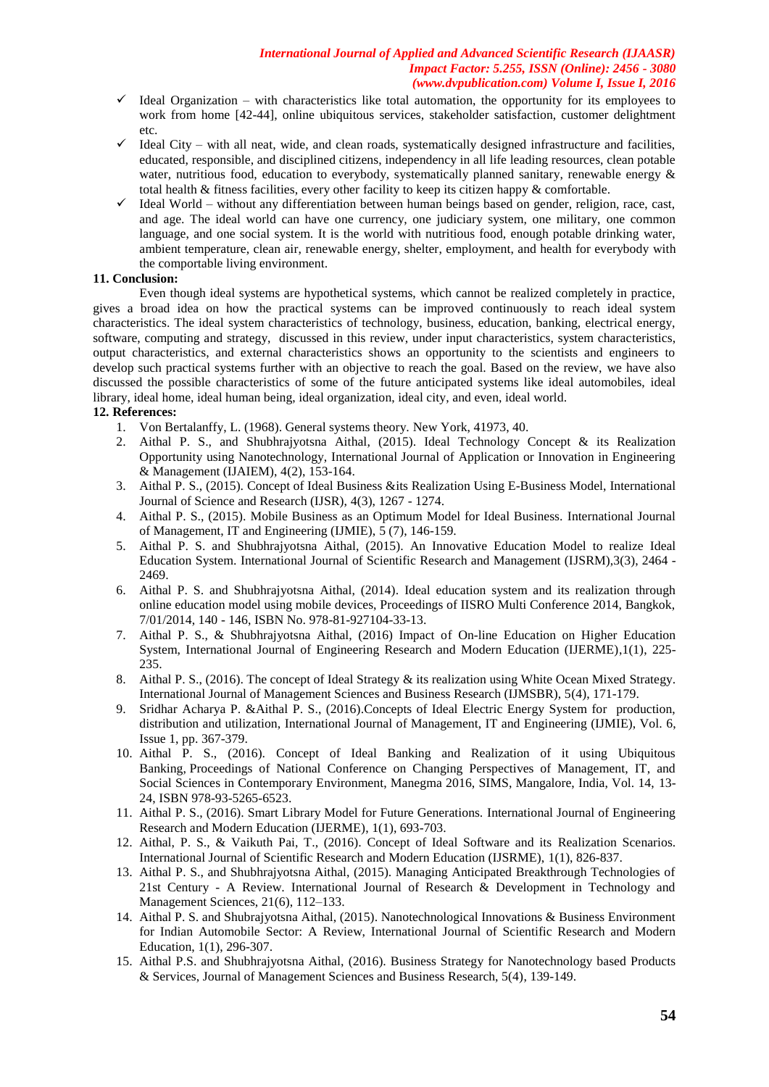- $\checkmark$  Ideal Organization with characteristics like total automation, the opportunity for its employees to work from home [42-44], online ubiquitous services, stakeholder satisfaction, customer delightment etc.
- $\checkmark$  Ideal City with all neat, wide, and clean roads, systematically designed infrastructure and facilities, educated, responsible, and disciplined citizens, independency in all life leading resources, clean potable water, nutritious food, education to everybody, systematically planned sanitary, renewable energy & total health & fitness facilities, every other facility to keep its citizen happy & comfortable.
- $\checkmark$  Ideal World without any differentiation between human beings based on gender, religion, race, cast, and age. The ideal world can have one currency, one judiciary system, one military, one common language, and one social system. It is the world with nutritious food, enough potable drinking water, ambient temperature, clean air, renewable energy, shelter, employment, and health for everybody with the comportable living environment.

## **11. Conclusion:**

Even though ideal systems are hypothetical systems, which cannot be realized completely in practice, gives a broad idea on how the practical systems can be improved continuously to reach ideal system characteristics. The ideal system characteristics of technology, business, education, banking, electrical energy, software, computing and strategy, discussed in this review, under input characteristics, system characteristics, output characteristics, and external characteristics shows an opportunity to the scientists and engineers to develop such practical systems further with an objective to reach the goal. Based on the review, we have also discussed the possible characteristics of some of the future anticipated systems like ideal automobiles, ideal library, ideal home, ideal human being, ideal organization, ideal city, and even, ideal world.

## **12. References:**

- 1. Von Bertalanffy, L. (1968). General systems theory. New York, 41973, 40.<br>2. Aithal P. S., and Shubhrajyotsna Aithal. (2015). Ideal Technology 6
- 2. Aithal P. S., and Shubhrajyotsna Aithal, (2015). Ideal Technology Concept & its Realization Opportunity using Nanotechnology, International Journal of Application or Innovation in Engineering & Management (IJAIEM), 4(2), 153-164.
- 3. Aithal P. S., (2015). Concept of Ideal Business &its Realization Using E-Business Model, International Journal of Science and Research (IJSR), 4(3), 1267 - 1274.
- 4. Aithal P. S., (2015). Mobile Business as an Optimum Model for Ideal Business. International Journal of Management, IT and Engineering (IJMIE), 5 (7), 146-159.
- 5. Aithal P. S. and Shubhrajyotsna Aithal, (2015). An Innovative Education Model to realize Ideal Education System. International Journal of Scientific Research and Management (IJSRM),3(3), 2464 - 2469.
- 6. Aithal P. S. and Shubhrajyotsna Aithal, (2014). Ideal education system and its realization through online education model using mobile devices, Proceedings of IISRO Multi Conference 2014, Bangkok, 7/01/2014, 140 - 146, ISBN No. 978-81-927104-33-13.
- 7. Aithal P. S., & Shubhrajyotsna Aithal, (2016) Impact of On-line Education on Higher Education System, International Journal of Engineering Research and Modern Education (IJERME),1(1), 225- 235.
- 8. Aithal P. S., (2016). The concept of Ideal Strategy & its realization using White Ocean Mixed Strategy. International Journal of Management Sciences and Business Research (IJMSBR), 5(4), 171-179.
- 9. Sridhar Acharya P. &Aithal P. S., (2016).Concepts of Ideal Electric Energy System for production, distribution and utilization, International Journal of Management, IT and Engineering (IJMIE), Vol. 6, Issue 1, pp. 367-379.
- 10. Aithal P. S., (2016). Concept of Ideal Banking and Realization of it using Ubiquitous Banking, Proceedings of National Conference on Changing Perspectives of Management, IT, and Social Sciences in Contemporary Environment, Manegma 2016, SIMS, Mangalore, India, Vol. 14, 13- 24, ISBN 978-93-5265-6523.
- 11. Aithal P. S., (2016). Smart Library Model for Future Generations. International Journal of Engineering Research and Modern Education (IJERME), 1(1), 693-703.
- 12. Aithal, P. S., & Vaikuth Pai, T., (2016). Concept of Ideal Software and its Realization Scenarios. International Journal of Scientific Research and Modern Education (IJSRME), 1(1), 826-837.
- 13. Aithal P. S., and Shubhrajyotsna Aithal, (2015). Managing Anticipated Breakthrough Technologies of 21st Century - A Review. International Journal of Research & Development in Technology and Management Sciences, 21(6), 112–133.
- 14. Aithal P. S. and Shubrajyotsna Aithal, (2015). Nanotechnological Innovations & Business Environment for Indian Automobile Sector: A Review, International Journal of Scientific Research and Modern Education, 1(1), 296-307.
- 15. Aithal P.S. and Shubhrajyotsna Aithal, (2016). Business Strategy for Nanotechnology based Products & Services, Journal of Management Sciences and Business Research, 5(4), 139-149.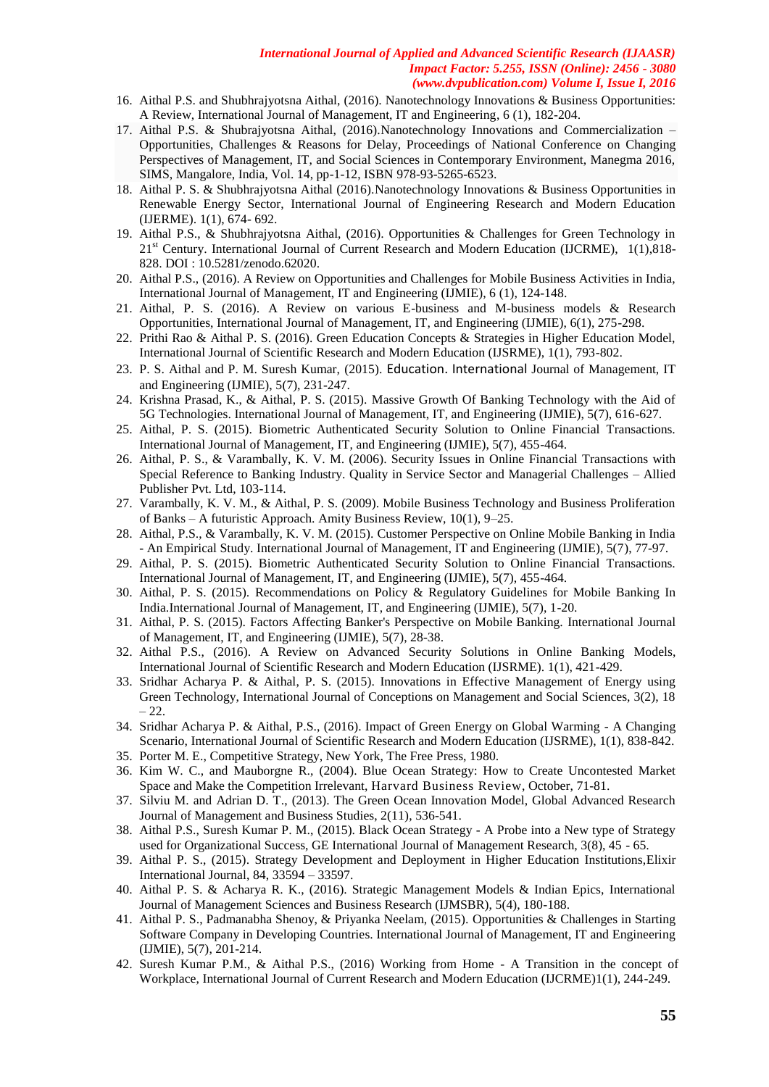- 16. Aithal P.S. and Shubhrajyotsna Aithal, (2016). Nanotechnology Innovations & Business Opportunities: A Review, International Journal of Management, IT and Engineering, 6 (1), 182-204.
- 17. Aithal P.S. & Shubrajyotsna Aithal, (2016).Nanotechnology Innovations and Commercialization Opportunities, Challenges & Reasons for Delay, Proceedings of National Conference on Changing Perspectives of Management, IT, and Social Sciences in Contemporary Environment, Manegma 2016, SIMS, Mangalore, India, Vol. 14, pp-1-12, ISBN 978-93-5265-6523.
- 18. Aithal P. S. & Shubhrajyotsna Aithal (2016).Nanotechnology Innovations & Business Opportunities in Renewable Energy Sector, International Journal of Engineering Research and Modern Education (IJERME). 1(1), 674- 692.
- 19. Aithal P.S., & Shubhrajyotsna Aithal, (2016). Opportunities & Challenges for Green Technology in 21<sup>st</sup> Century. International Journal of Current Research and Modern Education (IJCRME), 1(1),818-828. DOI : 10.5281/zenodo.62020.
- 20. Aithal P.S., (2016). A Review on Opportunities and Challenges for Mobile Business Activities in India, International Journal of Management, IT and Engineering (IJMIE), 6 (1), 124-148.
- 21. Aithal, P. S. (2016). A Review on various E-business and M-business models & Research Opportunities, International Journal of Management, IT, and Engineering (IJMIE), 6(1), 275-298.
- 22. Prithi Rao & Aithal P. S. (2016). Green Education Concepts & Strategies in Higher Education Model, International Journal of Scientific Research and Modern Education (IJSRME), 1(1), 793-802.
- 23. P. S. Aithal and P. M. Suresh Kumar, (2015). Education. International Journal of Management, IT and Engineering (IJMIE), 5(7), 231-247.
- 24. Krishna Prasad, K., & Aithal, P. S. (2015). Massive Growth Of Banking Technology with the Aid of 5G Technologies. International Journal of Management, IT, and Engineering (IJMIE), 5(7), 616-627.
- 25. Aithal, P. S. (2015). Biometric Authenticated Security Solution to Online Financial Transactions. International Journal of Management, IT, and Engineering (IJMIE), 5(7), 455-464.
- 26. Aithal, P. S., & Varambally, K. V. M. (2006). Security Issues in Online Financial Transactions with Special Reference to Banking Industry. Quality in Service Sector and Managerial Challenges – Allied Publisher Pvt. Ltd, 103-114.
- 27. Varambally, K. V. M., & Aithal, P. S. (2009). Mobile Business Technology and Business Proliferation of Banks – A futuristic Approach. Amity Business Review, 10(1), 9–25.
- 28. Aithal, P.S., & Varambally, K. V. M. (2015). Customer Perspective on Online Mobile Banking in India - An Empirical Study. International Journal of Management, IT and Engineering (IJMIE), 5(7), 77-97.
- 29. Aithal, P. S. (2015). Biometric Authenticated Security Solution to Online Financial Transactions. International Journal of Management, IT, and Engineering (IJMIE), 5(7), 455-464.
- 30. Aithal, P. S. (2015). Recommendations on Policy & Regulatory Guidelines for Mobile Banking In India.International Journal of Management, IT, and Engineering (IJMIE), 5(7), 1-20.
- 31. Aithal, P. S. (2015). Factors Affecting Banker's Perspective on Mobile Banking. International Journal of Management, IT, and Engineering (IJMIE), 5(7), 28-38.
- 32. Aithal P.S., (2016). A Review on Advanced Security Solutions in Online Banking Models, International Journal of Scientific Research and Modern Education (IJSRME). 1(1), 421-429.
- 33. Sridhar Acharya P. & Aithal, P. S. (2015). Innovations in Effective Management of Energy using Green Technology, International Journal of Conceptions on Management and Social Sciences, 3(2), 18  $-22.$
- 34. Sridhar Acharya P. & Aithal, P.S., (2016). Impact of Green Energy on Global Warming A Changing Scenario, International Journal of Scientific Research and Modern Education (IJSRME), 1(1), 838-842.
- 35. Porter M. E., Competitive Strategy, New York, The Free Press, 1980.
- 36. Kim W. C., and Mauborgne R., (2004). Blue Ocean Strategy: How to Create Uncontested Market Space and Make the Competition Irrelevant, Harvard Business Review, October, 71-81.
- 37. Silviu M. and Adrian D. T., (2013). The Green Ocean Innovation Model, Global Advanced Research Journal of Management and Business Studies, 2(11), 536-541.
- 38. Aithal P.S., Suresh Kumar P. M., (2015). Black Ocean Strategy A Probe into a New type of Strategy used for Organizational Success, GE International Journal of Management Research, 3(8), 45 - 65.
- 39. Aithal P. S., (2015). Strategy Development and Deployment in Higher Education Institutions,Elixir International Journal, 84, 33594 – 33597.
- 40. Aithal P. S. & Acharya R. K., (2016). Strategic Management Models & Indian Epics, International Journal of Management Sciences and Business Research (IJMSBR), 5(4), 180-188.
- 41. Aithal P. S., Padmanabha Shenoy, & Priyanka Neelam, (2015). [Opportunities & Challenges in Starting](http://www.ijmra.us/project%20doc/2015/SPECIAL_JULY2015/20.pdf)  [Software Company in Developing](http://www.ijmra.us/project%20doc/2015/SPECIAL_JULY2015/20.pdf) Countries. International Journal of Management, IT and Engineering (IJMIE), 5(7), 201-214.
- 42. Suresh Kumar P.M., & Aithal P.S., (2016) Working from Home A Transition in the concept of Workplace, International Journal of Current Research and Modern Education (IJCRME)1(1), 244-249.